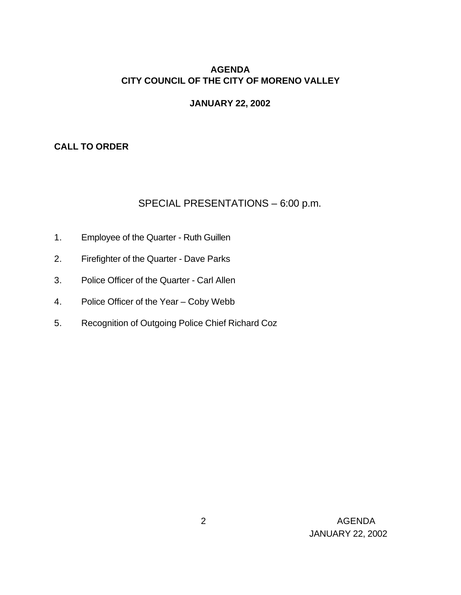## **AGENDA CITY COUNCIL OF THE CITY OF MORENO VALLEY**

#### **JANUARY 22, 2002**

## **CALL TO ORDER**

### SPECIAL PRESENTATIONS – 6:00 p.m.

- 1. Employee of the Quarter Ruth Guillen
- 2. Firefighter of the Quarter Dave Parks
- 3. Police Officer of the Quarter Carl Allen
- 4. Police Officer of the Year Coby Webb
- 5. Recognition of Outgoing Police Chief Richard Coz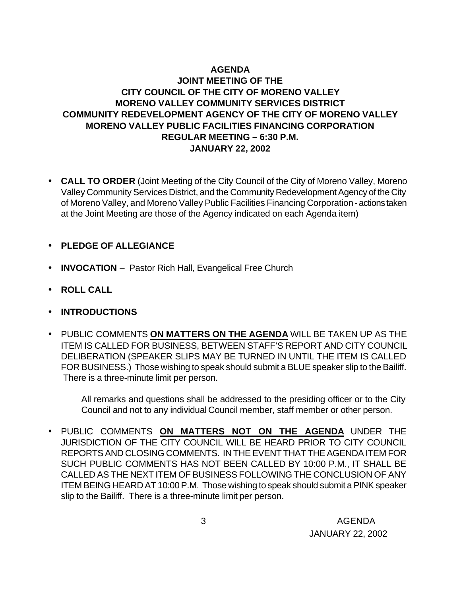# **AGENDA**

## **JOINT MEETING OF THE CITY COUNCIL OF THE CITY OF MORENO VALLEY MORENO VALLEY COMMUNITY SERVICES DISTRICT COMMUNITY REDEVELOPMENT AGENCY OF THE CITY OF MORENO VALLEY MORENO VALLEY PUBLIC FACILITIES FINANCING CORPORATION REGULAR MEETING – 6:30 P.M. JANUARY 22, 2002**

- **CALL TO ORDER** (Joint Meeting of the City Council of the City of Moreno Valley, Moreno Valley Community Services District, and the Community Redevelopment Agency of the City of Moreno Valley, and Moreno Valley Public Facilities Financing Corporation - actions taken at the Joint Meeting are those of the Agency indicated on each Agenda item)
- **PLEDGE OF ALLEGIANCE**
- **INVOCATION** Pastor Rich Hall, Evangelical Free Church
- **ROLL CALL**
- **INTRODUCTIONS**
- PUBLIC COMMENTS **ON MATTERS ON THE AGENDA** WILL BE TAKEN UP AS THE ITEM IS CALLED FOR BUSINESS, BETWEEN STAFF'S REPORT AND CITY COUNCIL DELIBERATION (SPEAKER SLIPS MAY BE TURNED IN UNTIL THE ITEM IS CALLED FOR BUSINESS.) Those wishing to speak should submit a BLUE speaker slip to the Bailiff. There is a three-minute limit per person.

All remarks and questions shall be addressed to the presiding officer or to the City Council and not to any individual Council member, staff member or other person.

• PUBLIC COMMENTS **ON MATTERS NOT ON THE AGENDA** UNDER THE JURISDICTION OF THE CITY COUNCIL WILL BE HEARD PRIOR TO CITY COUNCIL REPORTS AND CLOSING COMMENTS. IN THE EVENT THAT THE AGENDA ITEM FOR SUCH PUBLIC COMMENTS HAS NOT BEEN CALLED BY 10:00 P.M., IT SHALL BE CALLED AS THE NEXT ITEM OF BUSINESS FOLLOWING THE CONCLUSION OF ANY ITEM BEING HEARD AT 10:00 P.M. Those wishing to speak should submit a PINK speaker slip to the Bailiff. There is a three-minute limit per person.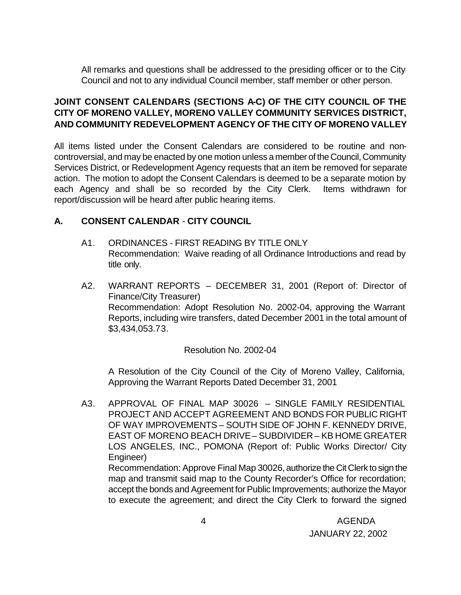All remarks and questions shall be addressed to the presiding officer or to the City Council and not to any individual Council member, staff member or other person.

## **JOINT CONSENT CALENDARS (SECTIONS A-C) OF THE CITY COUNCIL OF THE CITY OF MORENO VALLEY, MORENO VALLEY COMMUNITY SERVICES DISTRICT, AND COMMUNITY REDEVELOPMENT AGENCY OF THE CITY OF MORENO VALLEY**

All items listed under the Consent Calendars are considered to be routine and noncontroversial, and may be enacted by one motion unless a member of the Council, Community Services District, or Redevelopment Agency requests that an item be removed for separate action. The motion to adopt the Consent Calendars is deemed to be a separate motion by each Agency and shall be so recorded by the City Clerk. Items withdrawn for report/discussion will be heard after public hearing items.

# **A. CONSENT CALENDAR** - **CITY COUNCIL**

- A1. ORDINANCES FIRST READING BY TITLE ONLY Recommendation: Waive reading of all Ordinance Introductions and read by title only.
- A2. WARRANT REPORTS DECEMBER 31, 2001 (Report of: Director of Finance/City Treasurer) Recommendation: Adopt Resolution No. 2002-04, approving the Warrant Reports, including wire transfers, dated December 2001 in the total amount of \$3,434,053.73.

### Resolution No. 2002-04

A Resolution of the City Council of the City of Moreno Valley, California, Approving the Warrant Reports Dated December 31, 2001

A3. APPROVAL OF FINAL MAP 30026 – SINGLE FAMILY RESIDENTIAL PROJECT AND ACCEPT AGREEMENT AND BONDS FOR PUBLIC RIGHT OF WAY IMPROVEMENTS – SOUTH SIDE OF JOHN F. KENNEDY DRIVE, EAST OF MORENO BEACH DRIVE – SUBDIVIDER – KB HOME GREATER LOS ANGELES, INC., POMONA (Report of: Public Works Director/ City Engineer)

Recommendation: Approve Final Map 30026, authorize the Cit Clerk to sign the map and transmit said map to the County Recorder's Office for recordation; accept the bonds and Agreement for Public Improvements; authorize the Mayor to execute the agreement; and direct the City Clerk to forward the signed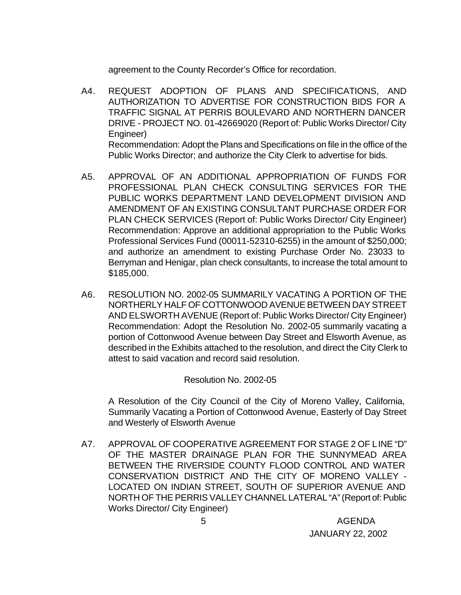agreement to the County Recorder's Office for recordation.

- A4. REQUEST ADOPTION OF PLANS AND SPECIFICATIONS, AND AUTHORIZATION TO ADVERTISE FOR CONSTRUCTION BIDS FOR A TRAFFIC SIGNAL AT PERRIS BOULEVARD AND NORTHERN DANCER DRIVE - PROJECT NO. 01-42669020 (Report of: Public Works Director/ City Engineer) Recommendation: Adopt the Plans and Specifications on file in the office of the Public Works Director; and authorize the City Clerk to advertise for bids.
- A5. APPROVAL OF AN ADDITIONAL APPROPRIATION OF FUNDS FOR PROFESSIONAL PLAN CHECK CONSULTING SERVICES FOR THE PUBLIC WORKS DEPARTMENT LAND DEVELOPMENT DIVISION AND AMENDMENT OF AN EXISTING CONSULTANT PURCHASE ORDER FOR PLAN CHECK SERVICES (Report of: Public Works Director/ City Engineer) Recommendation: Approve an additional appropriation to the Public Works Professional Services Fund (00011-52310-6255) in the amount of \$250,000; and authorize an amendment to existing Purchase Order No. 23033 to Berryman and Henigar, plan check consultants, to increase the total amount to \$185,000.
- A6. RESOLUTION NO. 2002-05 SUMMARILY VACATING A PORTION OF THE NORTHERLY HALF OF COTTONWOOD AVENUE BETWEEN DAY STREET AND ELSWORTH AVENUE (Report of: Public Works Director/ City Engineer) Recommendation: Adopt the Resolution No. 2002-05 summarily vacating a portion of Cottonwood Avenue between Day Street and Elsworth Avenue, as described in the Exhibits attached to the resolution, and direct the City Clerk to attest to said vacation and record said resolution.

Resolution No. 2002-05

A Resolution of the City Council of the City of Moreno Valley, California, Summarily Vacating a Portion of Cottonwood Avenue, Easterly of Day Street and Westerly of Elsworth Avenue

A7. APPROVAL OF COOPERATIVE AGREEMENT FOR STAGE 2 OF LINE "D" OF THE MASTER DRAINAGE PLAN FOR THE SUNNYMEAD AREA BETWEEN THE RIVERSIDE COUNTY FLOOD CONTROL AND WATER CONSERVATION DISTRICT AND THE CITY OF MORENO VALLEY - LOCATED ON INDIAN STREET, SOUTH OF SUPERIOR AVENUE AND NORTH OF THE PERRIS VALLEY CHANNEL LATERAL "A" (Report of: Public Works Director/ City Engineer)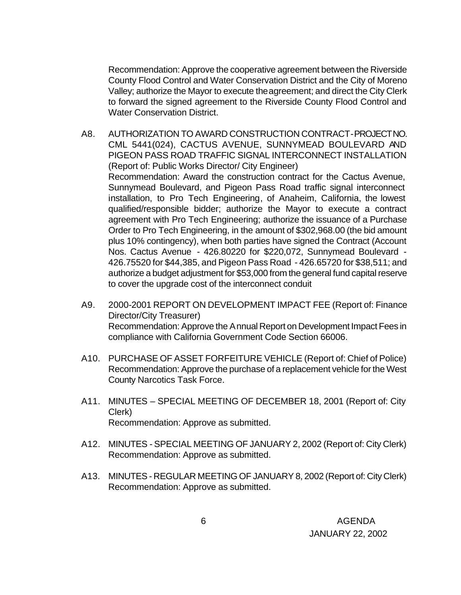Recommendation: Approve the cooperative agreement between the Riverside County Flood Control and Water Conservation District and the City of Moreno Valley; authorize the Mayor to execute the agreement; and direct the City Clerk to forward the signed agreement to the Riverside County Flood Control and Water Conservation District.

- A8. AUTHORIZATION TO AWARD CONSTRUCTION CONTRACT PROJECT NO. CML 5441(024), CACTUS AVENUE, SUNNYMEAD BOULEVARD AND PIGEON PASS ROAD TRAFFIC SIGNAL INTERCONNECT INSTALLATION (Report of: Public Works Director/ City Engineer) Recommendation: Award the construction contract for the Cactus Avenue, Sunnymead Boulevard, and Pigeon Pass Road traffic signal interconnect installation, to Pro Tech Engineering, of Anaheim, California, the lowest qualified/responsible bidder; authorize the Mayor to execute a contract agreement with Pro Tech Engineering; authorize the issuance of a Purchase Order to Pro Tech Engineering, in the amount of \$302,968.00 (the bid amount plus 10% contingency), when both parties have signed the Contract (Account Nos. Cactus Avenue - 426.80220 for \$220,072, Sunnymead Boulevard - 426.75520 for \$44,385, and Pigeon Pass Road - 426.65720 for \$38,511; and authorize a budget adjustment for \$53,000 from the general fund capital reserve to cover the upgrade cost of the interconnect conduit
- A9. 2000-2001 REPORT ON DEVELOPMENT IMPACT FEE (Report of: Finance Director/City Treasurer) Recommendation: Approve the Annual Report on Development Impact Fees in compliance with California Government Code Section 66006.
- A10. PURCHASE OF ASSET FORFEITURE VEHICLE (Report of: Chief of Police) Recommendation: Approve the purchase of a replacement vehicle for the West County Narcotics Task Force.
- A11. MINUTES SPECIAL MEETING OF DECEMBER 18, 2001 (Report of: City Clerk) Recommendation: Approve as submitted.
- A12. MINUTES SPECIAL MEETING OF JANUARY 2, 2002 (Report of: City Clerk) Recommendation: Approve as submitted.
- A13. MINUTES REGULAR MEETING OF JANUARY 8, 2002 (Report of: City Clerk) Recommendation: Approve as submitted.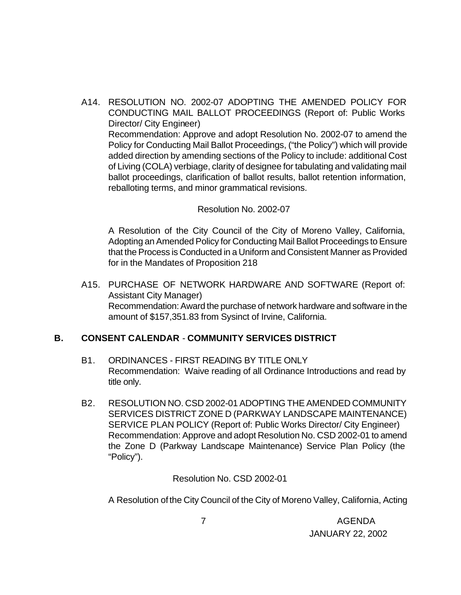A14. RESOLUTION NO. 2002-07 ADOPTING THE AMENDED POLICY FOR CONDUCTING MAIL BALLOT PROCEEDINGS (Report of: Public Works Director/ City Engineer) Recommendation: Approve and adopt Resolution No. 2002-07 to amend the Policy for Conducting Mail Ballot Proceedings, ("the Policy") which will provide added direction by amending sections of the Policy to include: additional Cost of Living (COLA) verbiage, clarity of designee for tabulating and validating mail ballot proceedings, clarification of ballot results, ballot retention information, reballoting terms, and minor grammatical revisions.

#### Resolution No. 2002-07

A Resolution of the City Council of the City of Moreno Valley, California, Adopting an Amended Policy for Conducting Mail Ballot Proceedings to Ensure that the Process is Conducted in a Uniform and Consistent Manner as Provided for in the Mandates of Proposition 218

A15. PURCHASE OF NETWORK HARDWARE AND SOFTWARE (Report of: Assistant City Manager) Recommendation: Award the purchase of network hardware and software in the amount of \$157,351.83 from Sysinct of Irvine, California.

### **B. CONSENT CALENDAR** - **COMMUNITY SERVICES DISTRICT**

- B1. ORDINANCES FIRST READING BY TITLE ONLY Recommendation: Waive reading of all Ordinance Introductions and read by title only.
- B2. RESOLUTION NO. CSD 2002-01 ADOPTING THE AMENDED COMMUNITY SERVICES DISTRICT ZONE D (PARKWAY LANDSCAPE MAINTENANCE) SERVICE PLAN POLICY (Report of: Public Works Director/ City Engineer) Recommendation: Approve and adopt Resolution No. CSD 2002-01 to amend the Zone D (Parkway Landscape Maintenance) Service Plan Policy (the "Policy").

Resolution No. CSD 2002-01

A Resolution of the City Council of the City of Moreno Valley, California, Acting

 7 AGENDA JANUARY 22, 2002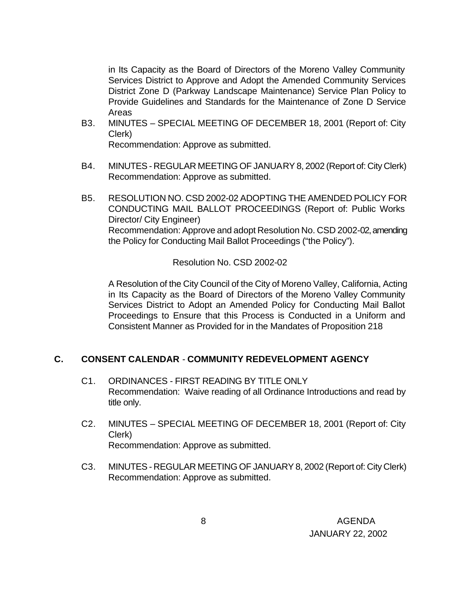in Its Capacity as the Board of Directors of the Moreno Valley Community Services District to Approve and Adopt the Amended Community Services District Zone D (Parkway Landscape Maintenance) Service Plan Policy to Provide Guidelines and Standards for the Maintenance of Zone D Service Areas

B3. MINUTES – SPECIAL MEETING OF DECEMBER 18, 2001 (Report of: City Clerk)

Recommendation: Approve as submitted.

- B4. MINUTES REGULAR MEETING OF JANUARY 8, 2002 (Report of: City Clerk) Recommendation: Approve as submitted.
- B5. RESOLUTION NO. CSD 2002-02 ADOPTING THE AMENDED POLICY FOR CONDUCTING MAIL BALLOT PROCEEDINGS (Report of: Public Works Director/ City Engineer) Recommendation: Approve and adopt Resolution No. CSD 2002-02, amending the Policy for Conducting Mail Ballot Proceedings ("the Policy").

Resolution No. CSD 2002-02

A Resolution of the City Council of the City of Moreno Valley, California, Acting in Its Capacity as the Board of Directors of the Moreno Valley Community Services District to Adopt an Amended Policy for Conducting Mail Ballot Proceedings to Ensure that this Process is Conducted in a Uniform and Consistent Manner as Provided for in the Mandates of Proposition 218

### **C. CONSENT CALENDAR** - **COMMUNITY REDEVELOPMENT AGENCY**

- C1. ORDINANCES FIRST READING BY TITLE ONLY Recommendation: Waive reading of all Ordinance Introductions and read by title only.
- C2. MINUTES SPECIAL MEETING OF DECEMBER 18, 2001 (Report of: City Clerk) Recommendation: Approve as submitted.
- C3. MINUTES REGULAR MEETING OF JANUARY 8, 2002 (Report of: City Clerk) Recommendation: Approve as submitted.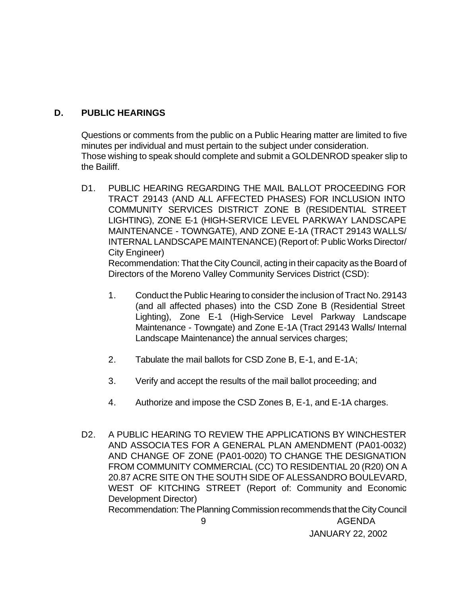### **D. PUBLIC HEARINGS**

Questions or comments from the public on a Public Hearing matter are limited to five minutes per individual and must pertain to the subject under consideration. Those wishing to speak should complete and submit a GOLDENROD speaker slip to the Bailiff.

D1. PUBLIC HEARING REGARDING THE MAIL BALLOT PROCEEDING FOR TRACT 29143 (AND ALL AFFECTED PHASES) FOR INCLUSION INTO COMMUNITY SERVICES DISTRICT ZONE B (RESIDENTIAL STREET LIGHTING), ZONE E-1 (HIGH-SERVICE LEVEL PARKWAY LANDSCAPE MAINTENANCE - TOWNGATE), AND ZONE E-1A (TRACT 29143 WALLS/ INTERNAL LANDSCAPE MAINTENANCE) (Report of: Public Works Director/ City Engineer)

Recommendation: That the City Council, acting in their capacity as the Board of Directors of the Moreno Valley Community Services District (CSD):

- 1. Conduct the Public Hearing to consider the inclusion of Tract No. 29143 (and all affected phases) into the CSD Zone B (Residential Street Lighting), Zone E-1 (High-Service Level Parkway Landscape Maintenance - Towngate) and Zone E-1A (Tract 29143 Walls/ Internal Landscape Maintenance) the annual services charges;
- 2. Tabulate the mail ballots for CSD Zone B, E-1, and E-1A;
- 3. Verify and accept the results of the mail ballot proceeding; and
- 4. Authorize and impose the CSD Zones B, E-1, and E-1A charges.
- 9 AGENDA D2. A PUBLIC HEARING TO REVIEW THE APPLICATIONS BY WINCHESTER AND ASSOCIATES FOR A GENERAL PLAN AMENDMENT (PA01-0032) AND CHANGE OF ZONE (PA01-0020) TO CHANGE THE DESIGNATION FROM COMMUNITY COMMERCIAL (CC) TO RESIDENTIAL 20 (R20) ON A 20.87 ACRE SITE ON THE SOUTH SIDE OF ALESSANDRO BOULEVARD, WEST OF KITCHING STREET (Report of: Community and Economic Development Director) Recommendation: The Planning Commission recommends that the City Council

JANUARY 22, 2002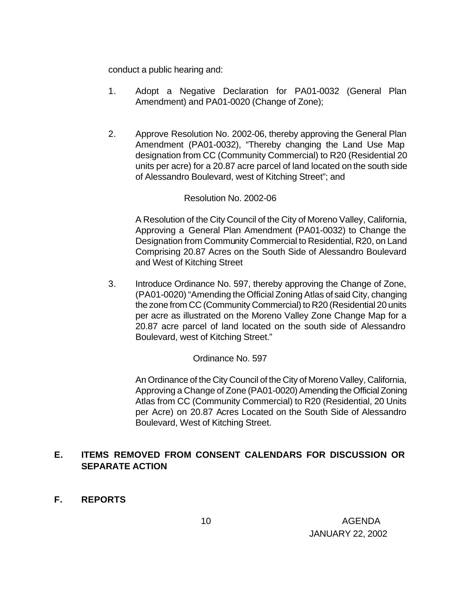conduct a public hearing and:

- 1. Adopt a Negative Declaration for PA01-0032 (General Plan Amendment) and PA01-0020 (Change of Zone);
- 2. Approve Resolution No. 2002-06, thereby approving the General Plan Amendment (PA01-0032), "Thereby changing the Land Use Map designation from CC (Community Commercial) to R20 (Residential 20 units per acre) for a 20.87 acre parcel of land located on the south side of Alessandro Boulevard, west of Kitching Street"; and

#### Resolution No. 2002-06

A Resolution of the City Council of the City of Moreno Valley, California, Approving a General Plan Amendment (PA01-0032) to Change the Designation from Community Commercial to Residential, R20, on Land Comprising 20.87 Acres on the South Side of Alessandro Boulevard and West of Kitching Street

3. Introduce Ordinance No. 597, thereby approving the Change of Zone, (PA01-0020) "Amending the Official Zoning Atlas of said City, changing the zone from CC (Community Commercial) to R20 (Residential 20 units per acre as illustrated on the Moreno Valley Zone Change Map for a 20.87 acre parcel of land located on the south side of Alessandro Boulevard, west of Kitching Street."

### Ordinance No. 597

An Ordinance of the City Council of the City of Moreno Valley, California, Approving a Change of Zone (PA01-0020) Amending the Official Zoning Atlas from CC (Community Commercial) to R20 (Residential, 20 Units per Acre) on 20.87 Acres Located on the South Side of Alessandro Boulevard, West of Kitching Street.

### **E. ITEMS REMOVED FROM CONSENT CALENDARS FOR DISCUSSION OR SEPARATE ACTION**

**F. REPORTS**

 10 AGENDA JANUARY 22, 2002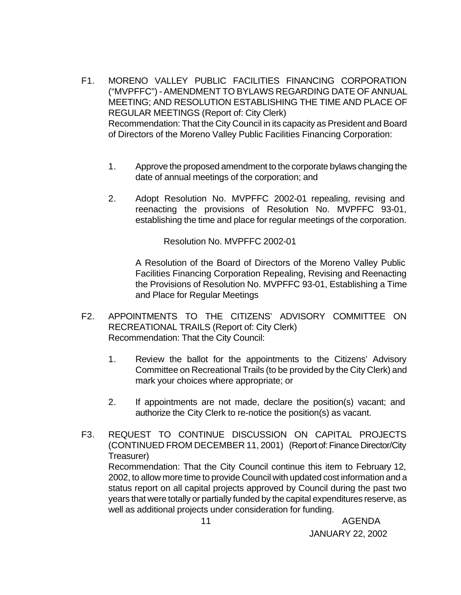- F1. MORENO VALLEY PUBLIC FACILITIES FINANCING CORPORATION ("MVPFFC") - AMENDMENT TO BYLAWS REGARDING DATE OF ANNUAL MEETING; AND RESOLUTION ESTABLISHING THE TIME AND PLACE OF REGULAR MEETINGS (Report of: City Clerk) Recommendation: That the City Council in its capacity as President and Board of Directors of the Moreno Valley Public Facilities Financing Corporation:
	- 1. Approve the proposed amendment to the corporate bylaws changing the date of annual meetings of the corporation; and
	- 2. Adopt Resolution No. MVPFFC 2002-01 repealing, revising and reenacting the provisions of Resolution No. MVPFFC 93-01, establishing the time and place for regular meetings of the corporation.

Resolution No. MVPFFC 2002-01

A Resolution of the Board of Directors of the Moreno Valley Public Facilities Financing Corporation Repealing, Revising and Reenacting the Provisions of Resolution No. MVPFFC 93-01, Establishing a Time and Place for Regular Meetings

- F2. APPOINTMENTS TO THE CITIZENS' ADVISORY COMMITTEE ON RECREATIONAL TRAILS (Report of: City Clerk) Recommendation: That the City Council:
	- 1. Review the ballot for the appointments to the Citizens' Advisory Committee on Recreational Trails (to be provided by the City Clerk) and mark your choices where appropriate; or
	- 2. If appointments are not made, declare the position(s) vacant; and authorize the City Clerk to re-notice the position(s) as vacant.
- F3. REQUEST TO CONTINUE DISCUSSION ON CAPITAL PROJECTS (CONTINUED FROM DECEMBER 11, 2001) (Report of: Finance Director/City Treasurer) Recommendation: That the City Council continue this item to February 12, 2002, to allow more time to provide Council with updated cost information and a status report on all capital projects approved by Council during the past two years that were totally or partially funded by the capital expenditures reserve, as well as additional projects under consideration for funding.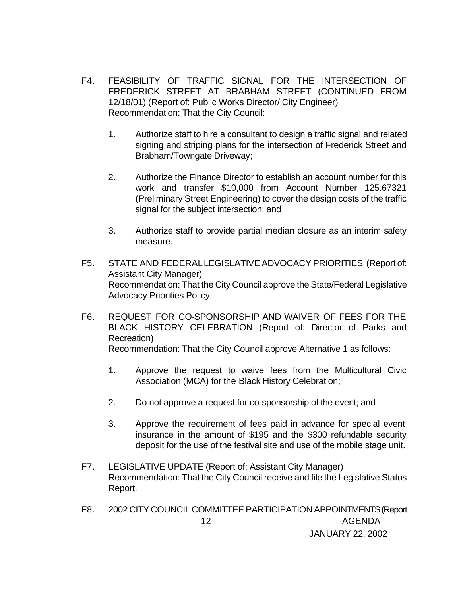- F4. FEASIBILITY OF TRAFFIC SIGNAL FOR THE INTERSECTION OF FREDERICK STREET AT BRABHAM STREET (CONTINUED FROM 12/18/01) (Report of: Public Works Director/ City Engineer) Recommendation: That the City Council:
	- 1. Authorize staff to hire a consultant to design a traffic signal and related signing and striping plans for the intersection of Frederick Street and Brabham/Towngate Driveway;
	- 2. Authorize the Finance Director to establish an account number for this work and transfer \$10,000 from Account Number 125.67321 (Preliminary Street Engineering) to cover the design costs of the traffic signal for the subject intersection; and
	- 3. Authorize staff to provide partial median closure as an interim safety measure.
- F5. STATE AND FEDERAL LEGISLATIVE ADVOCACY PRIORITIES (Report of: Assistant City Manager) Recommendation: That the City Council approve the State/Federal Legislative Advocacy Priorities Policy.
- F6. REQUEST FOR CO-SPONSORSHIP AND WAIVER OF FEES FOR THE BLACK HISTORY CELEBRATION (Report of: Director of Parks and Recreation) Recommendation: That the City Council approve Alternative 1 as follows:

- 1. Approve the request to waive fees from the Multicultural Civic Association (MCA) for the Black History Celebration;
- 2. Do not approve a request for co-sponsorship of the event; and
- 3. Approve the requirement of fees paid in advance for special event insurance in the amount of \$195 and the \$300 refundable security deposit for the use of the festival site and use of the mobile stage unit.
- F7. LEGISLATIVE UPDATE (Report of: Assistant City Manager) Recommendation: That the City Council receive and file the Legislative Status Report.
- 12 AGENDA JANUARY 22, 2002 F8. 2002 CITY COUNCIL COMMITTEE PARTICIPATION APPOINTMENTS (Report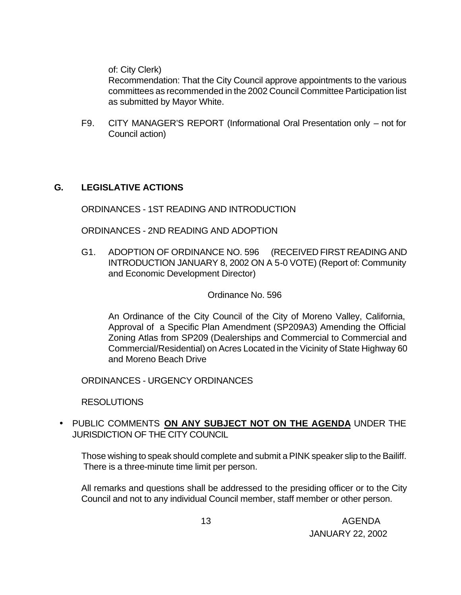of: City Clerk)

Recommendation: That the City Council approve appointments to the various committees as recommended in the 2002 Council Committee Participation list as submitted by Mayor White.

F9. CITY MANAGER'S REPORT (Informational Oral Presentation only – not for Council action)

### **G. LEGISLATIVE ACTIONS**

ORDINANCES - 1ST READING AND INTRODUCTION

ORDINANCES - 2ND READING AND ADOPTION

G1. ADOPTION OF ORDINANCE NO. 596 (RECEIVED FIRST READING AND INTRODUCTION JANUARY 8, 2002 ON A 5-0 VOTE) (Report of: Community and Economic Development Director)

Ordinance No. 596

An Ordinance of the City Council of the City of Moreno Valley, California, Approval of a Specific Plan Amendment (SP209A3) Amending the Official Zoning Atlas from SP209 (Dealerships and Commercial to Commercial and Commercial/Residential) on Acres Located in the Vicinity of State Highway 60 and Moreno Beach Drive

ORDINANCES - URGENCY ORDINANCES

RESOLUTIONS

• PUBLIC COMMENTS **ON ANY SUBJECT NOT ON THE AGENDA** UNDER THE JURISDICTION OF THE CITY COUNCIL

Those wishing to speak should complete and submit a PINK speaker slip to the Bailiff. There is a three-minute time limit per person.

All remarks and questions shall be addressed to the presiding officer or to the City Council and not to any individual Council member, staff member or other person.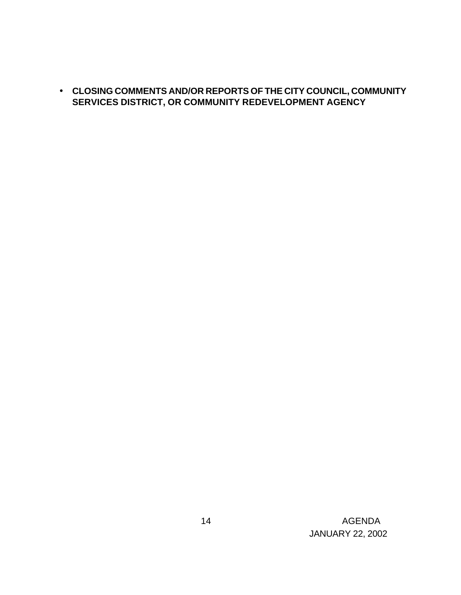• **CLOSING COMMENTS AND/OR REPORTS OF THE CITY COUNCIL, COMMUNITY SERVICES DISTRICT, OR COMMUNITY REDEVELOPMENT AGENCY**